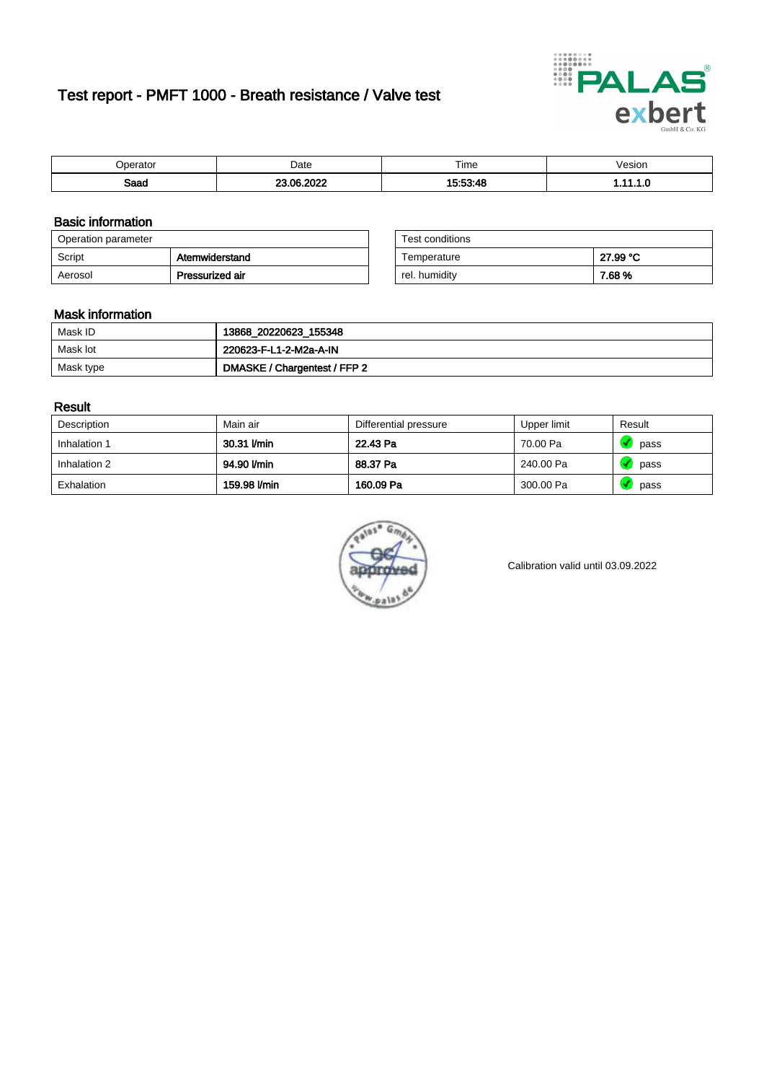# Test report - PMFT 1000 - Breath resistance / Valve test



| 100000              | Date  | $- \cdot$<br>Time | /esion<br>. |
|---------------------|-------|-------------------|-------------|
| <b>Room</b><br>oaau | $  -$ | .                 | .           |

### Basic information

| Operation parameter |                 | Test conditions |          |
|---------------------|-----------------|-----------------|----------|
| Script              | Atemwiderstand  | Temperature     | 27.99 °C |
| Aerosol             | Pressurized air | rel. humidity   | 7.68 %   |

| Test conditions |          |
|-----------------|----------|
| Temperature     | 27.99 °C |
| rel. humidity   | 7.68%    |

#### Mask information

| Mask ID   | 13868_20220623_155348        |
|-----------|------------------------------|
| Mask lot  | 220623-F-L1-2-M2a-A-IN       |
| Mask type | DMASKE / Chargentest / FFP 2 |

### Result

| Description  | Main air     | Differential pressure | Upper limit | Result |
|--------------|--------------|-----------------------|-------------|--------|
| Inhalation 1 | 30.31 l/min  | 22.43 Pa              | 70.00 Pa    | pass   |
| Inhalation 2 | 94.90 l/min  | 88.37 Pa              | 240.00 Pa   | pass   |
| Exhalation   | 159.98 l/min | 160.09 Pa             | 300.00 Pa   | pass   |



Calibration valid until 03.09.2022